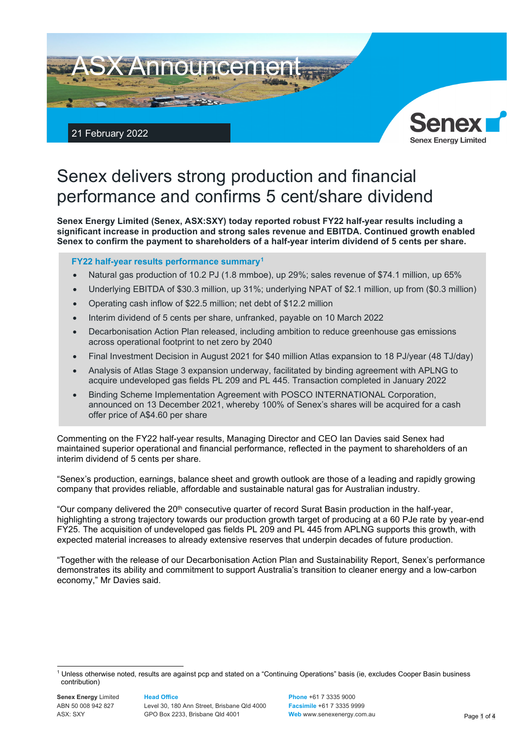

# Senex delivers strong production and financial performance and confirms 5 cent/share dividend

**Senex Energy Limited (Senex, ASX:SXY) today reported robust FY22 half-year results including a significant increase in production and strong sales revenue and EBITDA. Continued growth enabled Senex to confirm the payment to shareholders of a half-year interim dividend of 5 cents per share.**

# **FY22 half-year results performance summary[1](#page-0-0)**

- Natural gas production of 10.2 PJ (1.8 mmboe), up 29%; sales revenue of \$74.1 million, up 65%
- Underlying EBITDA of \$30.3 million, up 31%; underlying NPAT of \$2.1 million, up from (\$0.3 million)
- Operating cash inflow of \$22.5 million; net debt of \$12.2 million
- Interim dividend of 5 cents per share, unfranked, payable on 10 March 2022
- Decarbonisation Action Plan released, including ambition to reduce greenhouse gas emissions across operational footprint to net zero by 2040
- Final Investment Decision in August 2021 for \$40 million Atlas expansion to 18 PJ/year (48 TJ/day)
- Analysis of Atlas Stage 3 expansion underway, facilitated by binding agreement with APLNG to acquire undeveloped gas fields PL 209 and PL 445. Transaction completed in January 2022
- Binding Scheme Implementation Agreement with POSCO INTERNATIONAL Corporation, announced on 13 December 2021, whereby 100% of Senex's shares will be acquired for a cash offer price of A\$4.60 per share

Commenting on the FY22 half-year results, Managing Director and CEO Ian Davies said Senex had maintained superior operational and financial performance, reflected in the payment to shareholders of an interim dividend of 5 cents per share.

"Senex's production, earnings, balance sheet and growth outlook are those of a leading and rapidly growing company that provides reliable, affordable and sustainable natural gas for Australian industry.

"Our company delivered the  $20<sup>th</sup>$  consecutive quarter of record Surat Basin production in the half-year, highlighting a strong trajectory towards our production growth target of producing at a 60 PJe rate by year-end FY25. The acquisition of undeveloped gas fields PL 209 and PL 445 from APLNG supports this growth, with expected material increases to already extensive reserves that underpin decades of future production.

"Together with the release of our Decarbonisation Action Plan and Sustainability Report, Senex's performance demonstrates its ability and commitment to support Australia's transition to cleaner energy and a low-carbon economy," Mr Davies said.

#### **Head Office**

Level 30, 180 Ann Street, Brisbane Qld 4000 GPO Box 2233, Brisbane Qld 4001

**Phone** +61 7 3335 9000 **Facsimile** +61 7 3335 9999 **Web** ww[w.senexenergy.com.au](http://www.senexenergy.com.au/) Page 1 of 4

<span id="page-0-0"></span><sup>1</sup> Unless otherwise noted, results are against pcp and stated on a "Continuing Operations" basis (ie, excludes Cooper Basin business contribution)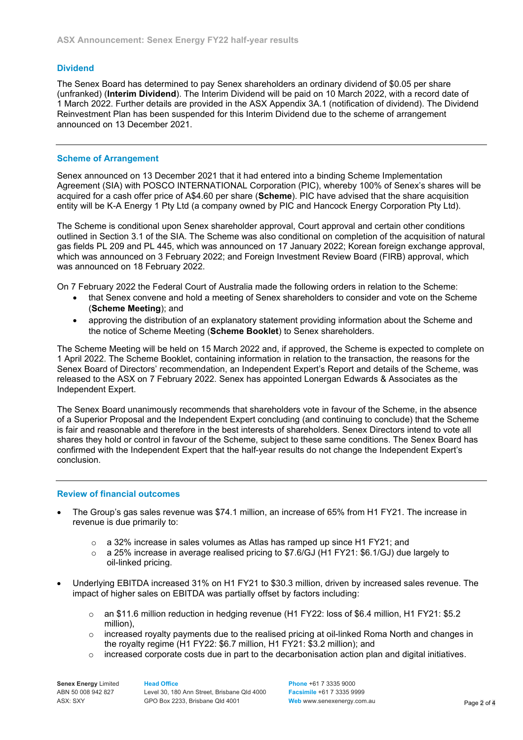# **Dividend**

The Senex Board has determined to pay Senex shareholders an ordinary dividend of \$0.05 per share (unfranked) (**Interim Dividend**). The Interim Dividend will be paid on 10 March 2022, with a record date of 1 March 2022. Further details are provided in the ASX Appendix 3A.1 (notification of dividend). The Dividend Reinvestment Plan has been suspended for this Interim Dividend due to the scheme of arrangement announced on 13 December 2021.

# **Scheme of Arrangement**

Senex announced on 13 December 2021 that it had entered into a binding Scheme Implementation Agreement (SIA) with POSCO INTERNATIONAL Corporation (PIC), whereby 100% of Senex's shares will be acquired for a cash offer price of A\$4.60 per share (**Scheme**). PIC have advised that the share acquisition entity will be K-A Energy 1 Pty Ltd (a company owned by PIC and Hancock Energy Corporation Pty Ltd).

The Scheme is conditional upon Senex shareholder approval, Court approval and certain other conditions outlined in Section 3.1 of the SIA. The Scheme was also conditional on completion of the acquisition of natural gas fields PL 209 and PL 445, which was announced on 17 January 2022; Korean foreign exchange approval, which was announced on 3 February 2022; and Foreign Investment Review Board (FIRB) approval, which was announced on 18 February 2022.

On 7 February 2022 the Federal Court of Australia made the following orders in relation to the Scheme:

- that Senex convene and hold a meeting of Senex shareholders to consider and vote on the Scheme (**Scheme Meeting**); and
- approving the distribution of an explanatory statement providing information about the Scheme and the notice of Scheme Meeting (**Scheme Booklet**) to Senex shareholders.

The Scheme Meeting will be held on 15 March 2022 and, if approved, the Scheme is expected to complete on 1 April 2022. The Scheme Booklet, containing information in relation to the transaction, the reasons for the Senex Board of Directors' recommendation, an Independent Expert's Report and details of the Scheme, was released to the ASX on 7 February 2022. Senex has appointed Lonergan Edwards & Associates as the Independent Expert.

The Senex Board unanimously recommends that shareholders vote in favour of the Scheme, in the absence of a Superior Proposal and the Independent Expert concluding (and continuing to conclude) that the Scheme is fair and reasonable and therefore in the best interests of shareholders. Senex Directors intend to vote all shares they hold or control in favour of the Scheme, subject to these same conditions. The Senex Board has confirmed with the Independent Expert that the half-year results do not change the Independent Expert's conclusion.

#### **Review of financial outcomes**

- The Group's gas sales revenue was \$74.1 million, an increase of 65% from H1 FY21. The increase in revenue is due primarily to:
	- $\circ$  a 32% increase in sales volumes as Atlas has ramped up since H1 FY21; and
	- $\circ$  a 25% increase in average realised pricing to \$7.6/GJ (H1 FY21: \$6.1/GJ) due largely to oil-linked pricing.
- Underlying EBITDA increased 31% on H1 FY21 to \$30.3 million, driven by increased sales revenue. The impact of higher sales on EBITDA was partially offset by factors including:
	- o an \$11.6 million reduction in hedging revenue (H1 FY22: loss of \$6.4 million, H1 FY21: \$5.2 million),
	- $\circ$  increased royalty payments due to the realised pricing at oil-linked Roma North and changes in the royalty regime (H1 FY22: \$6.7 million, H1 FY21: \$3.2 million); and
	- $\circ$  increased corporate costs due in part to the decarbonisation action plan and digital initiatives.

**Senex Energy** Limited ABN 50 008 942 827 ASX: SXY

#### **Head Office**

Level 30, 180 Ann Street, Brisbane Qld 4000 GPO Box 2233, Brisbane Qld 4001

**Phone** +61 7 3335 9000 **Facsimile** +61 7 3335 9999 **Web** ww[w.senexenergy.com.au](http://www.senexenergy.com.au/) **Page 2 of 4**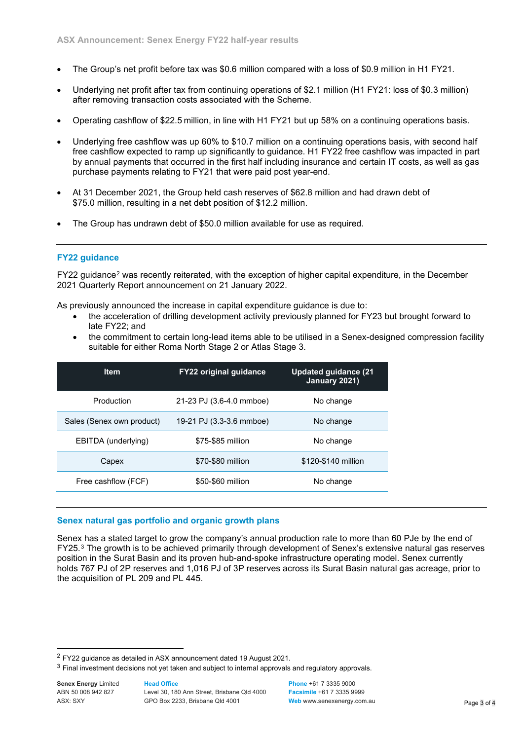- The Group's net profit before tax was \$0.6 million compared with a loss of \$0.9 million in H1 FY21.
- Underlying net profit after tax from continuing operations of \$2.1 million (H1 FY21: loss of \$0.3 million) after removing transaction costs associated with the Scheme.
- Operating cashflow of \$22.5 million, in line with H1 FY21 but up 58% on a continuing operations basis.
- Underlying free cashflow was up 60% to \$10.7 million on a continuing operations basis, with second half free cashflow expected to ramp up significantly to guidance. H1 FY22 free cashflow was impacted in part by annual payments that occurred in the first half including insurance and certain IT costs, as well as gas purchase payments relating to FY21 that were paid post year-end.
- At 31 December 2021, the Group held cash reserves of \$62.8 million and had drawn debt of \$75.0 million, resulting in a net debt position of \$12.2 million.
- The Group has undrawn debt of \$50.0 million available for use as required.

#### **FY22 guidance**

FY22 guidance[2](#page-2-0) was recently reiterated, with the exception of higher capital expenditure, in the December 2021 Quarterly Report announcement on 21 January 2022.

As previously announced the increase in capital expenditure guidance is due to:

- the acceleration of drilling development activity previously planned for FY23 but brought forward to late FY22; and
- the commitment to certain long-lead items able to be utilised in a Senex-designed compression facility suitable for either Roma North Stage 2 or Atlas Stage 3.

| <b>Item</b>               | <b>FY22 original guidance</b> | <b>Updated guidance (21)</b><br>January 2021) |
|---------------------------|-------------------------------|-----------------------------------------------|
| Production                | 21-23 PJ (3.6-4.0 mmboe)      | No change                                     |
| Sales (Senex own product) | 19-21 PJ (3.3-3.6 mmboe)      | No change                                     |
| EBITDA (underlying)       | \$75-\$85 million             | No change                                     |
| Capex                     | \$70-\$80 million             | \$120-\$140 million                           |
| Free cashflow (FCF)       | \$50-\$60 million             | No change                                     |
|                           |                               |                                               |

#### **Senex natural gas portfolio and organic growth plans**

Senex has a stated target to grow the company's annual production rate to more than 60 PJe by the end of FY25.[3](#page-2-1) The growth is to be achieved primarily through development of Senex's extensive natural gas reserves position in the Surat Basin and its proven hub-and-spoke infrastructure operating model. Senex currently holds 767 PJ of 2P reserves and 1,016 PJ of 3P reserves across its Surat Basin natural gas acreage, prior to the acquisition of PL 209 and PL 445.

**Head Office**

**Senex Energy** Limited ABN 50 008 942 827 ASX: SXY

Level 30, 180 Ann Street, Brisbane Qld 4000 GPO Box 2233, Brisbane Qld 4001

**Phone** +61 7 3335 9000 **Facsimile** +61 7 3335 9999 **Web** ww[w.senexenergy.com.au](http://www.senexenergy.com.au/) **Page 3 of 4** 

<span id="page-2-0"></span><sup>2</sup> FY22 guidance as detailed in ASX announcement dated 19 August 2021.

<span id="page-2-1"></span><sup>&</sup>lt;sup>3</sup> Final investment decisions not yet taken and subject to internal approvals and regulatory approvals.